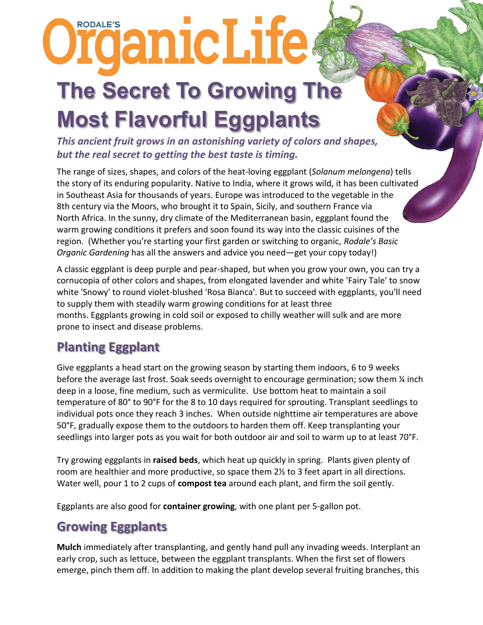# **Ganic Life RODALE'S**

# **The Secret To Growing The Most Flavorful Eggplants**

*This ancient fruit grows in an astonishing variety of colors and shapes, but the real secret to getting the best taste is timing.*

The range of sizes, shapes, and colors of the heat-loving eggplant (*Solanum melongena*) tells the story of its enduring popularity. Native to India, where it grows wild, it has been cultivated in Southeast Asia for thousands of years. Europe was introduced to the vegetable in the 8th century via the Moors, who brought it to Spain, Sicily, and southern France via North Africa. In the sunny, dry climate of the Mediterranean basin, eggplant found the warm growing conditions it prefers and soon found its way into the classic cuisines of the region. (Whether you're starting your first garden or switching to organic, *Rodale's Basic Organic Gardening* has all the answers and advice you need—get your copy today!)

A classic eggplant is deep purple and pear-shaped, but when you grow your own, you can try a cornucopia of other colors and shapes, from elongated lavender and white 'Fairy Tale' to snow white 'Snowy' to round violet-blushed 'Rosa Bianca'. But to succeed with [eggplants,](http://www.amazon.com/s?url=search-alias%3Daps&field-keywords=eggplants) you'll need to supply them with steadily warm growing conditions for at least three months. Eggplants growing in cold soil or exposed to chilly weather will sulk and are more prone to insect and disease problems.

## **Planting Eggplant**

Give eggplants a head start on the growing season by starting them indoors, 6 to 9 weeks before the average last frost. Soak seeds overnight to encourage germination; sow them % inch deep in a loose, fine medium, such as vermiculite. Use bottom heat to maintain a soil temperature of 80° to 90°F for the 8 to 10 days required for sprouting. Transplant seedlings to individual pots once they reach 3 inches. When outside nighttime air temperatures are above 50°F, gradually expose them to the outdoors to harden them off. Keep transplanting your seedlings into larger pots as you wait for both outdoor air and soil to warm up to at least 70°F.

Try growing eggplants in **raised beds**, which heat up quickly in spring. Plants given plenty of room are healthier and more productive, so space them 2½ to 3 feet apart in all directions. Water well, pour 1 to 2 cups of **compost tea** around each plant, and firm the soil gently.

Eggplants are also good for **container growing**, with one plant per 5-gallon pot.

# **Growing Eggplants**

**[Mulch](http://www.rodalesorganiclife.com/garden/choose-the-right-mulch-for-every-garden-need)** immediately after transplanting, and gently hand pull any invading weeds. Interplant an early crop, such as lettuce, between the eggplant transplants. When the first set of flowers emerge, pinch them off. In addition to making the plant develop several fruiting branches, this